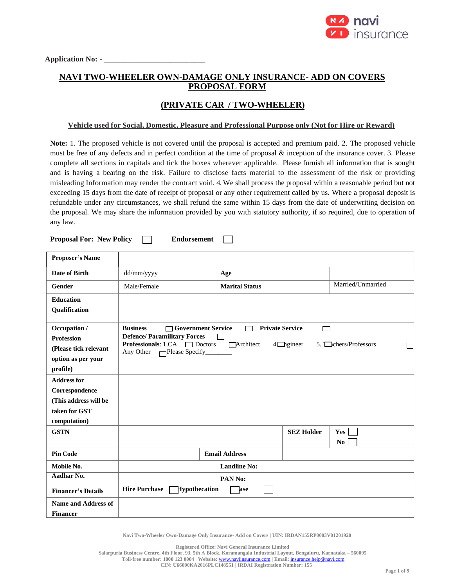

# **NAVI TWO-WHEELER OWN-DAMAGE ONLY INSURANCE- ADD ON COVERS PROPOSAL FORM**

## **(PRIVATE CAR / TWO-WHEELER)**

#### **Vehicle used for Social, Domestic, Pleasure and Professional Purpose only (Not for Hire or Reward)**

**Note:** 1. The proposed vehicle is not covered until the proposal is accepted and premium paid. 2. The proposed vehicle must be free of any defects and in perfect condition at the time of proposal & inception of the insurance cover. 3. Please complete all sections in capitals and tick the boxes wherever applicable. Please furnish all information that is sought and is having a bearing on the risk. Failure to disclose facts material to the assessment of the risk or providing misleading Information may render the contract void. 4. We shall process the proposal within a reasonable period but not exceeding 15 days from the date of receipt of proposal or any other requirement called by us. Where a proposal deposit is refundable under any circumstances, we shall refund the same within 15 days from the date of underwriting decision on the proposal. We may share the information provided by you with statutory authority, if so required, due to operation of any law.

 $\Box$ 

**Proposal For: New Policy Endorsement**

| <b>Proposer's Name</b>                                                                         |                                                                                                                                                               |                                                  |                         |                              |
|------------------------------------------------------------------------------------------------|---------------------------------------------------------------------------------------------------------------------------------------------------------------|--------------------------------------------------|-------------------------|------------------------------|
| <b>Date of Birth</b>                                                                           | dd/mm/yyyy                                                                                                                                                    | Age                                              |                         |                              |
| <b>Gender</b>                                                                                  | Male/Female                                                                                                                                                   | <b>Marital Status</b>                            |                         | Married/Unmarried            |
| <b>Education</b><br>Qualification                                                              |                                                                                                                                                               |                                                  |                         |                              |
| Occupation /<br><b>Profession</b><br>(Please tick relevant<br>option as per your<br>profile)   | □ Government Service<br><b>Business</b><br><b>Defence/Paramilitary Forces</b><br><b>Professionals:</b> 1.CA $\Box$ Doctors<br>Any Other $\Box$ Please Specify | <b>Private Service</b><br>ш<br><b>TArchitect</b> | П<br>$4$ $\Box$ ngineer | $5.$ $\Box$ chers/Professors |
| <b>Address for</b><br>Correspondence<br>(This address will be<br>taken for GST<br>computation) |                                                                                                                                                               |                                                  |                         |                              |
| <b>GSTN</b>                                                                                    |                                                                                                                                                               |                                                  | <b>SEZ Holder</b>       | Yes<br>N <sub>0</sub>        |
| <b>Pin Code</b>                                                                                |                                                                                                                                                               | <b>Email Address</b>                             |                         |                              |
| Mobile No.                                                                                     |                                                                                                                                                               | <b>Landline No:</b>                              |                         |                              |
| Aadhar No.                                                                                     |                                                                                                                                                               | PAN No:                                          |                         |                              |
| <b>Financer's Details</b>                                                                      | <b>Hire Purchase</b><br>Hypothecation                                                                                                                         | <b>lase</b>                                      |                         |                              |
| <b>Name and Address of</b><br><b>Financer</b>                                                  |                                                                                                                                                               |                                                  |                         |                              |

**Navi Two-Wheeler Own-Damage Only Insurance- Add on Covers | UIN: IRDAN155RP0003V01201920**

**Registered Office: Navi General Insurance Limited**

**Salarpuria Business Centre, 4th Floor, 93, 5th A Block, Koramangala Industrial Layout, Bengaluru, Karnataka – 560095**

**Toll-free number: 1800 123 0004 | Website:** [www.naviinsurance.com](http://www.naviinsurance.com/) **| Email:** [insurance.help@navi.com](mailto:insurance.help@navi.com)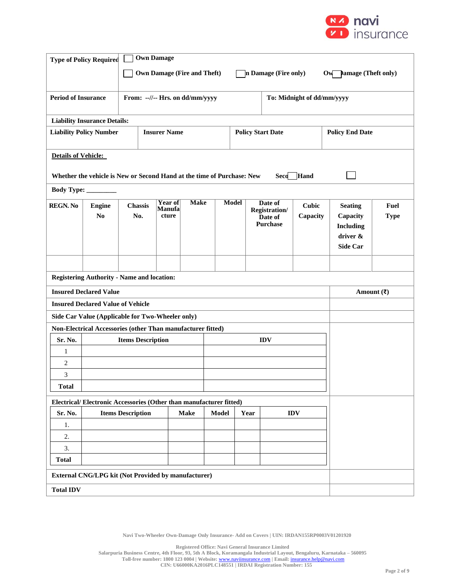

|                                                                    | <b>Own Damage</b><br><b>Type of Policy Required</b><br><b>Own Damage (Fire and Theft)</b><br>In Damage (Fire only)<br><b>Pamage (Theft only)</b><br>Ow |                          |  |                            |             |                                    |              |  |                                                               |                          |                                                                               |                     |  |
|--------------------------------------------------------------------|--------------------------------------------------------------------------------------------------------------------------------------------------------|--------------------------|--|----------------------------|-------------|------------------------------------|--------------|--|---------------------------------------------------------------|--------------------------|-------------------------------------------------------------------------------|---------------------|--|
|                                                                    | <b>Period of Insurance</b><br>To: Midnight of dd/mm/yyyy<br>From: --//-- Hrs. on dd/mm/yyyy                                                            |                          |  |                            |             |                                    |              |  |                                                               |                          |                                                                               |                     |  |
|                                                                    | <b>Liability Insurance Details:</b>                                                                                                                    |                          |  |                            |             |                                    |              |  |                                                               |                          |                                                                               |                     |  |
|                                                                    | <b>Liability Policy Number</b>                                                                                                                         |                          |  | <b>Insurer Name</b>        |             |                                    |              |  | <b>Policy Start Date</b>                                      |                          | <b>Policy End Date</b>                                                        |                     |  |
| <b>Details of Vehicle:</b>                                         |                                                                                                                                                        |                          |  |                            |             |                                    |              |  |                                                               |                          |                                                                               |                     |  |
|                                                                    | Whether the vehicle is New or Second Hand at the time of Purchase: New                                                                                 |                          |  |                            |             |                                    |              |  | Seco                                                          | Hand                     |                                                                               |                     |  |
|                                                                    | Body Type: ________                                                                                                                                    |                          |  |                            |             |                                    |              |  |                                                               |                          |                                                                               |                     |  |
| REGN. No                                                           | <b>Engine</b><br>N <sub>0</sub>                                                                                                                        | Chassis<br>No.           |  | Year of<br>Manufa<br>cture | <b>Make</b> |                                    | <b>Model</b> |  | Date of<br><b>Registration/</b><br>Date of<br><b>Purchase</b> | <b>Cubic</b><br>Capacity | <b>Seating</b><br>Capacity<br><b>Including</b><br>driver &<br><b>Side Car</b> | Fuel<br><b>Type</b> |  |
|                                                                    |                                                                                                                                                        |                          |  |                            |             |                                    |              |  |                                                               |                          |                                                                               |                     |  |
|                                                                    | <b>Registering Authority - Name and location:</b>                                                                                                      |                          |  |                            |             |                                    |              |  |                                                               |                          |                                                                               |                     |  |
|                                                                    | <b>Insured Declared Value</b><br>Amount $(\bar{\mathbf{z}})$                                                                                           |                          |  |                            |             |                                    |              |  |                                                               |                          |                                                                               |                     |  |
|                                                                    | <b>Insured Declared Value of Vehicle</b>                                                                                                               |                          |  |                            |             |                                    |              |  |                                                               |                          |                                                                               |                     |  |
|                                                                    | Side Car Value (Applicable for Two-Wheeler only)                                                                                                       |                          |  |                            |             |                                    |              |  |                                                               |                          |                                                                               |                     |  |
|                                                                    | Non-Electrical Accessories (other Than manufacturer fitted)                                                                                            |                          |  |                            |             |                                    |              |  |                                                               |                          |                                                                               |                     |  |
| Sr. No.                                                            |                                                                                                                                                        | <b>Items Description</b> |  |                            |             |                                    |              |  | <b>IDV</b>                                                    |                          |                                                                               |                     |  |
| $\mathbf{1}$<br>$\overline{c}$                                     |                                                                                                                                                        |                          |  |                            |             |                                    |              |  |                                                               |                          |                                                                               |                     |  |
| 3                                                                  |                                                                                                                                                        |                          |  |                            |             |                                    |              |  |                                                               |                          |                                                                               |                     |  |
| <b>Total</b>                                                       |                                                                                                                                                        |                          |  |                            |             |                                    |              |  |                                                               |                          |                                                                               |                     |  |
| Electrical/Electronic Accessories (Other than manufacturer fitted) |                                                                                                                                                        |                          |  |                            |             |                                    |              |  |                                                               |                          |                                                                               |                     |  |
| Sr. No.                                                            |                                                                                                                                                        | <b>Items Description</b> |  |                            | <b>Make</b> | <b>IDV</b><br><b>Model</b><br>Year |              |  |                                                               |                          |                                                                               |                     |  |
| 1.                                                                 |                                                                                                                                                        |                          |  |                            |             |                                    |              |  |                                                               |                          |                                                                               |                     |  |
| 2.                                                                 |                                                                                                                                                        |                          |  |                            |             |                                    |              |  |                                                               |                          |                                                                               |                     |  |
| <b>Total</b>                                                       | 3.                                                                                                                                                     |                          |  |                            |             |                                    |              |  |                                                               |                          |                                                                               |                     |  |
|                                                                    | <b>External CNG/LPG kit (Not Provided by manufacturer)</b>                                                                                             |                          |  |                            |             |                                    |              |  |                                                               |                          |                                                                               |                     |  |
|                                                                    |                                                                                                                                                        |                          |  |                            |             |                                    |              |  |                                                               |                          |                                                                               |                     |  |
| <b>Total IDV</b>                                                   |                                                                                                                                                        |                          |  |                            |             |                                    |              |  |                                                               |                          |                                                                               |                     |  |

**Registered Office: Navi General Insurance Limited**

**Salarpuria Business Centre, 4th Floor, 93, 5th A Block, Koramangala Industrial Layout, Bengaluru, Karnataka – 560095**

**Toll-free number: 1800 123 0004 | Website:** [www.naviinsurance.com](http://www.naviinsurance.com/) **| Email:** [insurance.help@navi.com](mailto:insurance.help@navi.com) **CIN: U66000KA2016PLC148551 | IRDAI Registration Number: 155**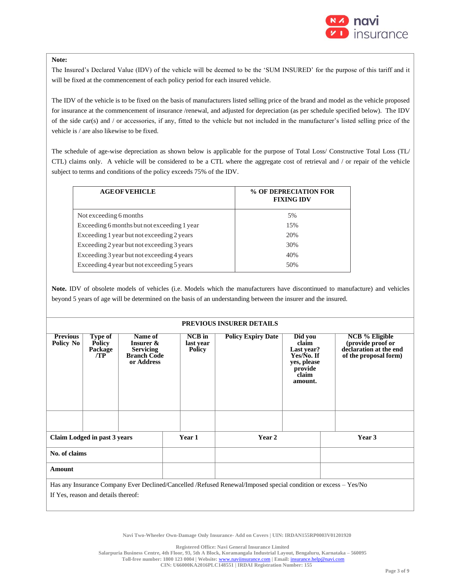

#### **Note:**

The Insured's Declared Value (IDV) of the vehicle will be deemed to be the 'SUM INSURED' for the purpose of this tariff and it will be fixed at the commencement of each policy period for each insured vehicle.

The IDV of the vehicle is to be fixed on the basis of manufacturers listed selling price of the brand and model as the vehicle proposed for insurance at the commencement of insurance /renewal, and adjusted for depreciation (as per schedule specified below). The IDV of the side car(s) and / or accessories, if any, fitted to the vehicle but not included in the manufacturer's listed selling price of the vehicle is / are also likewise to be fixed.

The schedule of age-wise depreciation as shown below is applicable for the purpose of Total Loss/ Constructive Total Loss (TL/ CTL) claims only. A vehicle will be considered to be a CTL where the aggregate cost of retrieval and / or repair of the vehicle subject to terms and conditions of the policy exceeds 75% of the IDV.

| <b>AGE OF VEHICLE</b>                       | % OF DEPRECIATION FOR<br><b>FIXING IDV</b> |
|---------------------------------------------|--------------------------------------------|
| Not exceeding 6 months                      | 5%                                         |
| Exceeding 6 months but not exceeding 1 year | 15%                                        |
| Exceeding 1 year but not exceeding 2 years  | 20%                                        |
| Exceeding 2 year but not exceeding 3 years  | 30%                                        |
| Exceeding 3 year but not exceeding 4 years  | 40%                                        |
| Exceeding 4 year but not exceeding 5 years  | 50%                                        |

**Note.** IDV of obsolete models of vehicles (i.e. Models which the manufacturers have discontinued to manufacture) and vehicles beyond 5 years of age will be determined on the basis of an understanding between the insurer and the insured.

#### **PREVIOUS INSURER DETAILS**

| <b>Previous</b><br>Policy No                                                                                                                           | Type of<br><b>Policy</b><br>Package<br>/TP | Name of<br><b>Insurer &amp;</b><br><b>Servicing</b><br><b>Branch Code</b><br>or Address |        | <b>NCB</b> in<br>last year<br><b>Policy</b> | <b>Policy Expiry Date</b> | Did you<br>claim<br>Last year?<br>Yes/No. If<br>yes, please<br>provide<br>claim<br>amount. |        | <b>NCB</b> % Eligible<br>(provide proof or<br>declaration at the end<br>of the proposal form) |  |
|--------------------------------------------------------------------------------------------------------------------------------------------------------|--------------------------------------------|-----------------------------------------------------------------------------------------|--------|---------------------------------------------|---------------------------|--------------------------------------------------------------------------------------------|--------|-----------------------------------------------------------------------------------------------|--|
|                                                                                                                                                        |                                            |                                                                                         |        |                                             |                           |                                                                                            |        |                                                                                               |  |
| Claim Lodged in past 3 years                                                                                                                           |                                            |                                                                                         | Year 1 | Year 2                                      |                           |                                                                                            | Year 3 |                                                                                               |  |
| No. of claims                                                                                                                                          |                                            |                                                                                         |        |                                             |                           |                                                                                            |        |                                                                                               |  |
| Amount                                                                                                                                                 |                                            |                                                                                         |        |                                             |                           |                                                                                            |        |                                                                                               |  |
| Has any Insurance Company Ever Declined/Cancelled /Refused Renewal/Imposed special condition or excess – Yes/No<br>If Yes, reason and details thereof: |                                            |                                                                                         |        |                                             |                           |                                                                                            |        |                                                                                               |  |

**Navi Two-Wheeler Own-Damage Only Insurance- Add on Covers | UIN: IRDAN155RP0003V01201920**

**Registered Office: Navi General Insurance Limited**

**Salarpuria Business Centre, 4th Floor, 93, 5th A Block, Koramangala Industrial Layout, Bengaluru, Karnataka – 560095**

**Toll-free number: 1800 123 0004 | Website:** [www.naviinsurance.com](http://www.naviinsurance.com/) **| Email:** [insurance.help@navi.com](mailto:insurance.help@navi.com)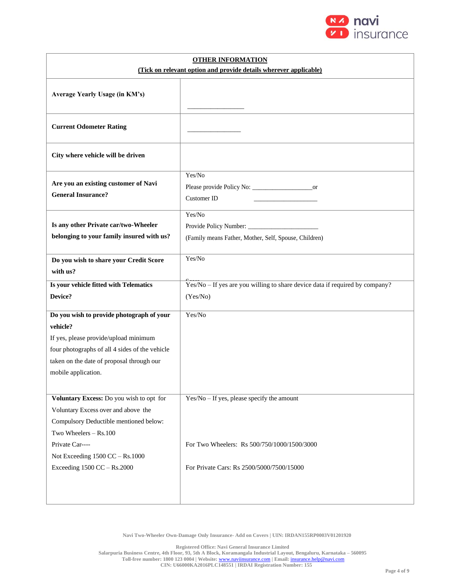

| <b>OTHER INFORMATION</b><br>(Tick on relevant option and provide details wherever applicable) |                                                                              |  |  |  |  |  |
|-----------------------------------------------------------------------------------------------|------------------------------------------------------------------------------|--|--|--|--|--|
|                                                                                               |                                                                              |  |  |  |  |  |
| Average Yearly Usage (in KM's)                                                                |                                                                              |  |  |  |  |  |
| <b>Current Odometer Rating</b>                                                                |                                                                              |  |  |  |  |  |
| City where vehicle will be driven                                                             |                                                                              |  |  |  |  |  |
| Are you an existing customer of Navi<br><b>General Insurance?</b>                             | Yes/No<br><b>Customer ID</b>                                                 |  |  |  |  |  |
| Is any other Private car/two-Wheeler<br>belonging to your family insured with us?             | Yes/No<br>(Family means Father, Mother, Self, Spouse, Children)              |  |  |  |  |  |
| Do you wish to share your Credit Score<br>with us?                                            | Yes/No                                                                       |  |  |  |  |  |
| Is your vehicle fitted with Telematics                                                        | Yes/No - If yes are you willing to share device data if required by company? |  |  |  |  |  |
| Device?                                                                                       | (Yes/No)                                                                     |  |  |  |  |  |
| Do you wish to provide photograph of your                                                     | Yes/No                                                                       |  |  |  |  |  |
| vehicle?                                                                                      |                                                                              |  |  |  |  |  |
| If yes, please provide/upload minimum                                                         |                                                                              |  |  |  |  |  |
| four photographs of all 4 sides of the vehicle                                                |                                                                              |  |  |  |  |  |
| taken on the date of proposal through our                                                     |                                                                              |  |  |  |  |  |
| mobile application.                                                                           |                                                                              |  |  |  |  |  |
|                                                                                               |                                                                              |  |  |  |  |  |
| Voluntary Excess: Do you wish to opt for                                                      | $Yes/No - If yes, please specify the amount$                                 |  |  |  |  |  |
| Voluntary Excess over and above the                                                           |                                                                              |  |  |  |  |  |
| Compulsory Deductible mentioned below:                                                        |                                                                              |  |  |  |  |  |
| Two Wheelers - Rs.100                                                                         |                                                                              |  |  |  |  |  |
| Private Car----                                                                               | For Two Wheelers: Rs 500/750/1000/1500/3000                                  |  |  |  |  |  |
| Not Exceeding 1500 CC - Rs.1000                                                               |                                                                              |  |  |  |  |  |
| Exceeding 1500 CC - Rs.2000                                                                   | For Private Cars: Rs 2500/5000/7500/15000                                    |  |  |  |  |  |
|                                                                                               |                                                                              |  |  |  |  |  |

**Registered Office: Navi General Insurance Limited Salarpuria Business Centre, 4th Floor, 93, 5th A Block, Koramangala Industrial Layout, Bengaluru, Karnataka – 560095 Toll-free number: 1800 123 0004 | Website:** [www.naviinsurance.com](http://www.naviinsurance.com/) **| Email:** [insurance.help@navi.com](mailto:insurance.help@navi.com) **CIN: U66000KA2016PLC148551 | IRDAI Registration Number: 155**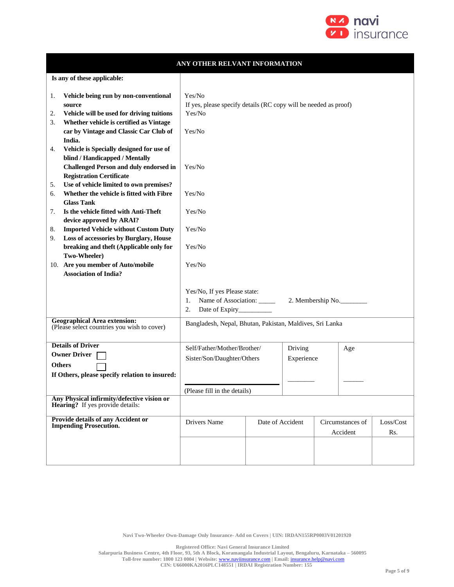

|                                                                                                                                                                                                     | ANY OTHER RELVANT INFORMATION                                                                      |                  |                   |                              |                   |                  |  |
|-----------------------------------------------------------------------------------------------------------------------------------------------------------------------------------------------------|----------------------------------------------------------------------------------------------------|------------------|-------------------|------------------------------|-------------------|------------------|--|
| Is any of these applicable:                                                                                                                                                                         |                                                                                                    |                  |                   |                              |                   |                  |  |
| Vehicle being run by non-conventional<br>1.<br>source<br>Vehicle will be used for driving tuitions<br>2.<br>Whether vehicle is certified as Vintage<br>3.<br>car by Vintage and Classic Car Club of | Yes/No<br>If yes, please specify details (RC copy will be needed as proof)<br>Yes/No<br>Yes/No     |                  |                   |                              |                   |                  |  |
| India.<br>Vehicle is Specially designed for use of<br>4.<br>blind / Handicapped / Mentally<br><b>Challenged Person and duly endorsed in</b><br><b>Registration Certificate</b>                      | Yes/No                                                                                             |                  |                   |                              |                   |                  |  |
| Use of vehicle limited to own premises?<br>5.<br>Whether the vehicle is fitted with Fibre<br>6.                                                                                                     | Yes/No                                                                                             |                  |                   |                              |                   |                  |  |
| <b>Glass Tank</b><br>Is the vehicle fitted with Anti-Theft<br>7.<br>device approved by ARAI?                                                                                                        | Yes/No                                                                                             |                  |                   |                              |                   |                  |  |
| <b>Imported Vehicle without Custom Duty</b><br>8.<br>Loss of accessories by Burglary, House<br>9.                                                                                                   | Yes/No                                                                                             |                  |                   |                              |                   |                  |  |
| breaking and theft (Applicable only for<br>Two-Wheeler)                                                                                                                                             | Yes/No                                                                                             |                  |                   |                              |                   |                  |  |
| 10. Are you member of Auto/mobile<br><b>Association of India?</b>                                                                                                                                   | Yes/No                                                                                             |                  |                   |                              |                   |                  |  |
|                                                                                                                                                                                                     | Yes/No, If yes Please state:<br>Name of Association: _____<br>1.<br>2.<br>Date of Expiry__________ |                  |                   |                              | 2. Membership No. |                  |  |
| <b>Geographical Area extension:</b><br>(Please select countries you wish to cover)                                                                                                                  | Bangladesh, Nepal, Bhutan, Pakistan, Maldives, Sri Lanka                                           |                  |                   |                              |                   |                  |  |
| <b>Details of Driver</b><br><b>Owner Driver</b><br><b>Others</b><br>If Others, please specify relation to insured:                                                                                  | Self/Father/Mother/Brother/<br>Sister/Son/Daughter/Others                                          | Driving          | Age<br>Experience |                              |                   |                  |  |
|                                                                                                                                                                                                     | (Please fill in the details)                                                                       |                  |                   |                              |                   |                  |  |
| Any Physical infirmity/defective vision or<br>Hearing? If yes provide details:                                                                                                                      |                                                                                                    |                  |                   |                              |                   |                  |  |
| Provide details of any Accident or<br><b>Impending Prosecution.</b>                                                                                                                                 | Drivers Name                                                                                       | Date of Accident |                   | Circumstances of<br>Accident |                   | Loss/Cost<br>Rs. |  |
|                                                                                                                                                                                                     |                                                                                                    |                  |                   |                              |                   |                  |  |

**Registered Office: Navi General Insurance Limited**

**Salarpuria Business Centre, 4th Floor, 93, 5th A Block, Koramangala Industrial Layout, Bengaluru, Karnataka – 560095**

**Toll-free number: 1800 123 0004 | Website:** [www.naviinsurance.com](http://www.naviinsurance.com/) **| Email:** [insurance.help@navi.com](mailto:insurance.help@navi.com)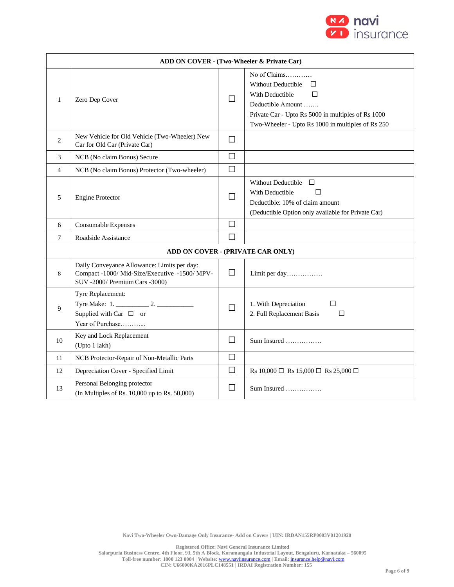

|                | ADD ON COVER - (Two-Wheeler & Private Car)                                                                                     |        |                                                                                                                                                                                                        |  |  |  |  |  |
|----------------|--------------------------------------------------------------------------------------------------------------------------------|--------|--------------------------------------------------------------------------------------------------------------------------------------------------------------------------------------------------------|--|--|--|--|--|
| 1              | Zero Dep Cover                                                                                                                 | П      | No of Claims<br><b>Without Deductible</b><br>П<br>With Deductible<br>П<br>Deductible Amount<br>Private Car - Upto Rs 5000 in multiples of Rs 1000<br>Two-Wheeler - Upto Rs 1000 in multiples of Rs 250 |  |  |  |  |  |
| 2              | New Vehicle for Old Vehicle (Two-Wheeler) New<br>Car for Old Car (Private Car)                                                 | $\Box$ |                                                                                                                                                                                                        |  |  |  |  |  |
| 3              | NCB (No claim Bonus) Secure                                                                                                    | $\Box$ |                                                                                                                                                                                                        |  |  |  |  |  |
| $\overline{4}$ | NCB (No claim Bonus) Protector (Two-wheeler)                                                                                   | $\Box$ |                                                                                                                                                                                                        |  |  |  |  |  |
| 5              | <b>Engine Protector</b>                                                                                                        | П      | <b>Without Deductible</b><br>$\Box$<br>With Deductible<br>Deductible: 10% of claim amount<br>(Deductible Option only available for Private Car)                                                        |  |  |  |  |  |
| 6              | Consumable Expenses                                                                                                            | □      |                                                                                                                                                                                                        |  |  |  |  |  |
| 7              | Roadside Assistance                                                                                                            | П      |                                                                                                                                                                                                        |  |  |  |  |  |
|                | ADD ON COVER - (PRIVATE CAR ONLY)                                                                                              |        |                                                                                                                                                                                                        |  |  |  |  |  |
| 8              | Daily Conveyance Allowance: Limits per day:<br>Compact -1000/ Mid-Size/Executive -1500/ MPV-<br>SUV -2000/ Premium Cars -3000) | $\Box$ | Limit per day                                                                                                                                                                                          |  |  |  |  |  |
| 9              | Tyre Replacement:<br>Supplied with Car $\Box$ or<br>Year of Purchase                                                           | $\Box$ | 1. With Depreciation<br>□<br>2. Full Replacement Basis<br>$\Box$                                                                                                                                       |  |  |  |  |  |
| 10             | Key and Lock Replacement<br>(Upto 1 lakh)                                                                                      | $\Box$ | Sum Insured                                                                                                                                                                                            |  |  |  |  |  |
| 11             | NCB Protector-Repair of Non-Metallic Parts                                                                                     | $\Box$ |                                                                                                                                                                                                        |  |  |  |  |  |
| 12             | Depreciation Cover - Specified Limit                                                                                           | $\Box$ | Rs 10,000 $\Box$ Rs 15,000 $\Box$ Rs 25,000 $\Box$                                                                                                                                                     |  |  |  |  |  |
| 13             | Personal Belonging protector<br>(In Multiples of Rs. 10,000 up to Rs. 50,000)                                                  | П      | $Sum\ Insured$                                                                                                                                                                                         |  |  |  |  |  |

**Registered Office: Navi General Insurance Limited**

**Salarpuria Business Centre, 4th Floor, 93, 5th A Block, Koramangala Industrial Layout, Bengaluru, Karnataka – 560095 Toll-free number: 1800 123 0004 | Website:** [www.naviinsurance.com](http://www.naviinsurance.com/) **| Email:** [insurance.help@navi.com](mailto:insurance.help@navi.com)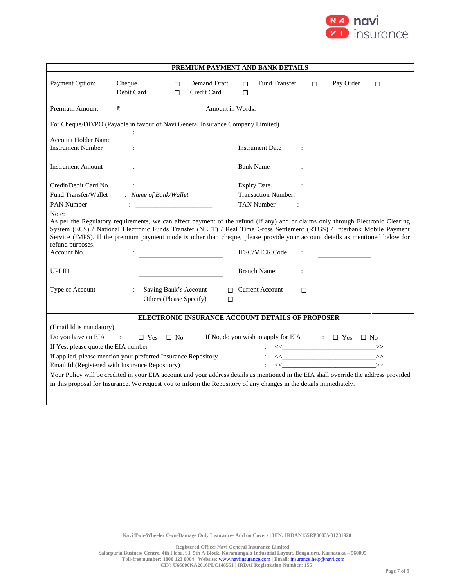

|                                                                                                                                                                                                                                                                                                                                                                                                                               |                                                                                                                                                                                                                                                                                                                                                                                                                                                                                                   |           |                                                  |                  | PREMIUM PAYMENT AND BANK DETAILS                        |        |                                                                                                                                                                                                                                                                                                                                                                                                                                                                                                                                                               |        |
|-------------------------------------------------------------------------------------------------------------------------------------------------------------------------------------------------------------------------------------------------------------------------------------------------------------------------------------------------------------------------------------------------------------------------------|---------------------------------------------------------------------------------------------------------------------------------------------------------------------------------------------------------------------------------------------------------------------------------------------------------------------------------------------------------------------------------------------------------------------------------------------------------------------------------------------------|-----------|--------------------------------------------------|------------------|---------------------------------------------------------|--------|---------------------------------------------------------------------------------------------------------------------------------------------------------------------------------------------------------------------------------------------------------------------------------------------------------------------------------------------------------------------------------------------------------------------------------------------------------------------------------------------------------------------------------------------------------------|--------|
| Payment Option:                                                                                                                                                                                                                                                                                                                                                                                                               | Cheque<br>Debit Card                                                                                                                                                                                                                                                                                                                                                                                                                                                                              | □<br>П    | Demand Draft<br>Credit Card                      | П<br>$\Box$      | <b>Fund Transfer</b>                                    | П      | Pay Order                                                                                                                                                                                                                                                                                                                                                                                                                                                                                                                                                     | $\Box$ |
| Premium Amount:                                                                                                                                                                                                                                                                                                                                                                                                               | ₹                                                                                                                                                                                                                                                                                                                                                                                                                                                                                                 |           |                                                  | Amount in Words: |                                                         |        |                                                                                                                                                                                                                                                                                                                                                                                                                                                                                                                                                               |        |
| For Cheque/DD/PO (Payable in favour of Navi General Insurance Company Limited)                                                                                                                                                                                                                                                                                                                                                |                                                                                                                                                                                                                                                                                                                                                                                                                                                                                                   |           |                                                  |                  |                                                         |        |                                                                                                                                                                                                                                                                                                                                                                                                                                                                                                                                                               |        |
| <b>Account Holder Name</b><br><b>Instrument Number</b>                                                                                                                                                                                                                                                                                                                                                                        |                                                                                                                                                                                                                                                                                                                                                                                                                                                                                                   |           |                                                  |                  | <b>Instrument Date</b>                                  |        |                                                                                                                                                                                                                                                                                                                                                                                                                                                                                                                                                               |        |
| <b>Instrument Amount</b>                                                                                                                                                                                                                                                                                                                                                                                                      |                                                                                                                                                                                                                                                                                                                                                                                                                                                                                                   |           |                                                  |                  | <b>Bank Name</b>                                        |        |                                                                                                                                                                                                                                                                                                                                                                                                                                                                                                                                                               |        |
| Credit/Debit Card No.                                                                                                                                                                                                                                                                                                                                                                                                         |                                                                                                                                                                                                                                                                                                                                                                                                                                                                                                   |           |                                                  |                  | <b>Expiry Date</b>                                      |        |                                                                                                                                                                                                                                                                                                                                                                                                                                                                                                                                                               |        |
| Fund Transfer/Wallet                                                                                                                                                                                                                                                                                                                                                                                                          | : Name of Bank/Wallet                                                                                                                                                                                                                                                                                                                                                                                                                                                                             |           |                                                  |                  | <b>Transaction Number:</b>                              |        |                                                                                                                                                                                                                                                                                                                                                                                                                                                                                                                                                               |        |
| <b>PAN Number</b><br>Note:                                                                                                                                                                                                                                                                                                                                                                                                    | $\begin{minipage}{.4\linewidth} \begin{tabular}{l} \multicolumn{2}{c} {\textbf{1}} & \multicolumn{2}{c} {\textbf{2}} & \multicolumn{2}{c} {\textbf{3}} \\ \multicolumn{2}{c} {\textbf{4}} & \multicolumn{2}{c} {\textbf{5}} & \multicolumn{2}{c} {\textbf{6}} \\ \multicolumn{2}{c} {\textbf{5}} & \multicolumn{2}{c} {\textbf{6}} & \multicolumn{2}{c} {\textbf{6}} \\ \multicolumn{2}{c} {\textbf{6}} & \multicolumn{2}{c} {\textbf{6}} & \multicolumn{2}{c} {\textbf{6}} \\ \multicolumn{2}{c$ |           |                                                  |                  | <b>TAN Number</b><br>$\sim$ $\sim$ $\sim$ $\sim$ $\sim$ |        |                                                                                                                                                                                                                                                                                                                                                                                                                                                                                                                                                               |        |
| As per the Regulatory requirements, we can affect payment of the refund (if any) and or claims only through Electronic Clearing<br>System (ECS) / National Electronic Funds Transfer (NEFT) / Real Time Gross Settlement (RTGS) / Interbank Mobile Payment<br>Service (IMPS). If the premium payment mode is other than cheque, please provide your account details as mentioned below for<br>refund purposes.<br>Account No. |                                                                                                                                                                                                                                                                                                                                                                                                                                                                                                   |           |                                                  |                  | <b>IFSC/MICR Code</b>                                   |        |                                                                                                                                                                                                                                                                                                                                                                                                                                                                                                                                                               |        |
| <b>UPI ID</b>                                                                                                                                                                                                                                                                                                                                                                                                                 |                                                                                                                                                                                                                                                                                                                                                                                                                                                                                                   |           |                                                  |                  | <b>Branch Name:</b>                                     |        |                                                                                                                                                                                                                                                                                                                                                                                                                                                                                                                                                               |        |
| Type of Account                                                                                                                                                                                                                                                                                                                                                                                                               | $\mathbf{L}$                                                                                                                                                                                                                                                                                                                                                                                                                                                                                      |           | Saving Bank's Account<br>Others (Please Specify) | $\Box$           | $\Box$ Current Account                                  | $\Box$ |                                                                                                                                                                                                                                                                                                                                                                                                                                                                                                                                                               |        |
| ELECTRONIC INSURANCE ACCOUNT DETAILS OF PROPOSER                                                                                                                                                                                                                                                                                                                                                                              |                                                                                                                                                                                                                                                                                                                                                                                                                                                                                                   |           |                                                  |                  |                                                         |        |                                                                                                                                                                                                                                                                                                                                                                                                                                                                                                                                                               |        |
| (Email Id is mandatory)                                                                                                                                                                                                                                                                                                                                                                                                       |                                                                                                                                                                                                                                                                                                                                                                                                                                                                                                   |           |                                                  |                  |                                                         |        |                                                                                                                                                                                                                                                                                                                                                                                                                                                                                                                                                               |        |
| Do you have an EIA                                                                                                                                                                                                                                                                                                                                                                                                            | $\sim 1000$<br>$\Box$ Yes                                                                                                                                                                                                                                                                                                                                                                                                                                                                         | $\Box$ No |                                                  |                  |                                                         |        | If No, do you wish to apply for EIA $\Box$ Yes $\Box$ No                                                                                                                                                                                                                                                                                                                                                                                                                                                                                                      |        |
| If Yes, please quote the EIA number                                                                                                                                                                                                                                                                                                                                                                                           |                                                                                                                                                                                                                                                                                                                                                                                                                                                                                                   |           |                                                  |                  |                                                         |        | $\left\langle \!\left\langle \begin{array}{c} \rule{0.3cm}{0.15mm} \rule{0.3cm}{0.15mm} \end{array} \right. \!\! \right. \! \left. \begin{array}{c} \rule{0.3cm}{0.15mm} \rule{0.3cm}{0.15mm} \end{array} \right\rangle \!\!>$                                                                                                                                                                                                                                                                                                                                |        |
| If applied, please mention your preferred Insurance Repository                                                                                                                                                                                                                                                                                                                                                                |                                                                                                                                                                                                                                                                                                                                                                                                                                                                                                   |           |                                                  |                  |                                                         |        | $\left\langle \!\left\langle \begin{array}{c} \right.\\ \left. \right.\\ \left. \right.\\ \left. \right.\\ \left. \right.\\ \left. \right.\\ \left. \right.\\ \left. \right.\\ \left. \right.\\ \left. \right.\\ \left. \right.\\ \left. \right.\\ \left. \right.\\ \left. \right.\\ \left. \right.\\ \left. \right.\\ \left. \right.\\ \left. \right.\\ \left. \right.\\ \left. \right.\\ \left. \right.\\ \left. \right.\\ \left. \right.\\ \left. \right.\\ \left. \right.\\ \left. \right.\\ \left. \right.\\ \left. \right.\\ \left. \right.\\ \left. \$ |        |
| Email Id (Registered with Insurance Repository)                                                                                                                                                                                                                                                                                                                                                                               |                                                                                                                                                                                                                                                                                                                                                                                                                                                                                                   |           |                                                  |                  |                                                         |        | $\iff \qquad \qquad \iff \qquad \qquad \Longrightarrow$                                                                                                                                                                                                                                                                                                                                                                                                                                                                                                       |        |
|                                                                                                                                                                                                                                                                                                                                                                                                                               | Your Policy will be credited in your EIA account and your address details as mentioned in the EIA shall override the address provided<br>in this proposal for Insurance. We request you to inform the Repository of any changes in the details immediately.                                                                                                                                                                                                                                       |           |                                                  |                  |                                                         |        |                                                                                                                                                                                                                                                                                                                                                                                                                                                                                                                                                               |        |
|                                                                                                                                                                                                                                                                                                                                                                                                                               |                                                                                                                                                                                                                                                                                                                                                                                                                                                                                                   |           |                                                  |                  |                                                         |        |                                                                                                                                                                                                                                                                                                                                                                                                                                                                                                                                                               |        |

**Registered Office: Navi General Insurance Limited**

**Salarpuria Business Centre, 4th Floor, 93, 5th A Block, Koramangala Industrial Layout, Bengaluru, Karnataka – 560095**

**Toll-free number: 1800 123 0004 | Website:** [www.naviinsurance.com](http://www.naviinsurance.com/) **| Email:** [insurance.help@navi.com](mailto:insurance.help@navi.com) **CIN: U66000KA2016PLC148551 | IRDAI Registration Number: 155**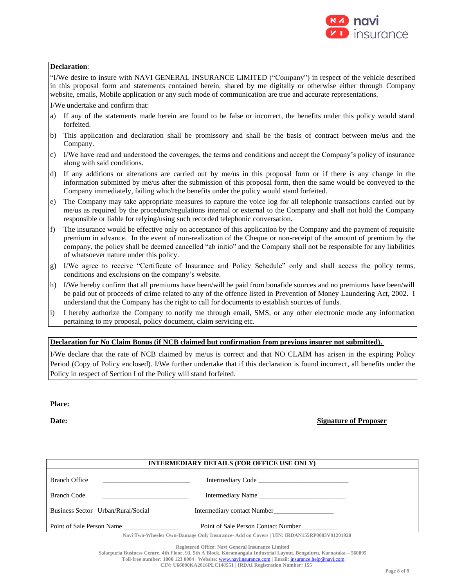

## **Declaration**:

"I/We desire to insure with NAVI GENERAL INSURANCE LIMITED ("Company") in respect of the vehicle described in this proposal form and statements contained herein, shared by me digitally or otherwise either through Company website, emails, Mobile application or any such mode of communication are true and accurate representations.

I/We undertake and confirm that:

- a) If any of the statements made herein are found to be false or incorrect, the benefits under this policy would stand forfeited.
- b) This application and declaration shall be promissory and shall be the basis of contract between me/us and the Company.
- c) I/We have read and understood the coverages, the terms and conditions and accept the Company's policy of insurance along with said conditions.
- d) If any additions or alterations are carried out by me/us in this proposal form or if there is any change in the information submitted by me/us after the submission of this proposal form, then the same would be conveyed to the Company immediately, failing which the benefits under the policy would stand forfeited.
- e) The Company may take appropriate measures to capture the voice log for all telephonic transactions carried out by me/us as required by the procedure/regulations internal or external to the Company and shall not hold the Company responsible or liable for relying/using such recorded telephonic conversation.
- f) The insurance would be effective only on acceptance of this application by the Company and the payment of requisite premium in advance. In the event of non-realization of the Cheque or non-receipt of the amount of premium by the company, the policy shall be deemed cancelled "ab initio" and the Company shall not be responsible for any liabilities of whatsoever nature under this policy.
- g) I/We agree to receive "Certificate of Insurance and Policy Schedule" only and shall access the policy terms, conditions and exclusions on the company's website.
- h) I/We hereby confirm that all premiums have been/will be paid from bonafide sources and no premiums have been/will be paid out of proceeds of crime related to any of the offence listed in Prevention of Money Laundering Act, 2002. I understand that the Company has the right to call for documents to establish sources of funds.
- i) I hereby authorize the Company to notify me through email, SMS, or any other electronic mode any information pertaining to my proposal, policy document, claim servicing etc.

## **Declaration for No Claim Bonus (if NCB claimed but confirmation from previous insurer not submitted).**

I/We declare that the rate of NCB claimed by me/us is correct and that NO CLAIM has arisen in the expiring Policy Period (Copy of Policy enclosed). I/We further undertake that if this declaration is found incorrect, all benefits under the Policy in respect of Section I of the Policy will stand forfeited.

**Place:**

## **Date: Signature of Proposer**

| <b>INTERMEDIARY DETAILS (FOR OFFICE USE ONLY)</b>                                                  |                             |  |  |  |  |
|----------------------------------------------------------------------------------------------------|-----------------------------|--|--|--|--|
| <b>Branch Office</b><br>the control of the control of the control of the control of the control of |                             |  |  |  |  |
| <b>Branch Code</b><br><u> 1980 - Johann Barbara, martin amerikan personal (</u>                    | Intermediary Name           |  |  |  |  |
| Business Sector Urban/Rural/Social                                                                 | Intermediary contact Number |  |  |  |  |
| Point of Sale Person Contact Number<br>Point of Sale Person Name                                   |                             |  |  |  |  |
| Navi Two-Wheeler Own-Damage Only Insurance- Add on Covers   UIN: IRDAN155RP0003V01201920           |                             |  |  |  |  |

**Registered Office: Navi General Insurance Limited**

**Salarpuria Business Centre, 4th Floor, 93, 5th A Block, Koramangala Industrial Layout, Bengaluru, Karnataka – 560095**

**Toll-free number: 1800 123 0004 | Website:** [www.naviinsurance.com](http://www.naviinsurance.com/) **| Email:** [insurance.help@navi.com](mailto:insurance.help@navi.com)